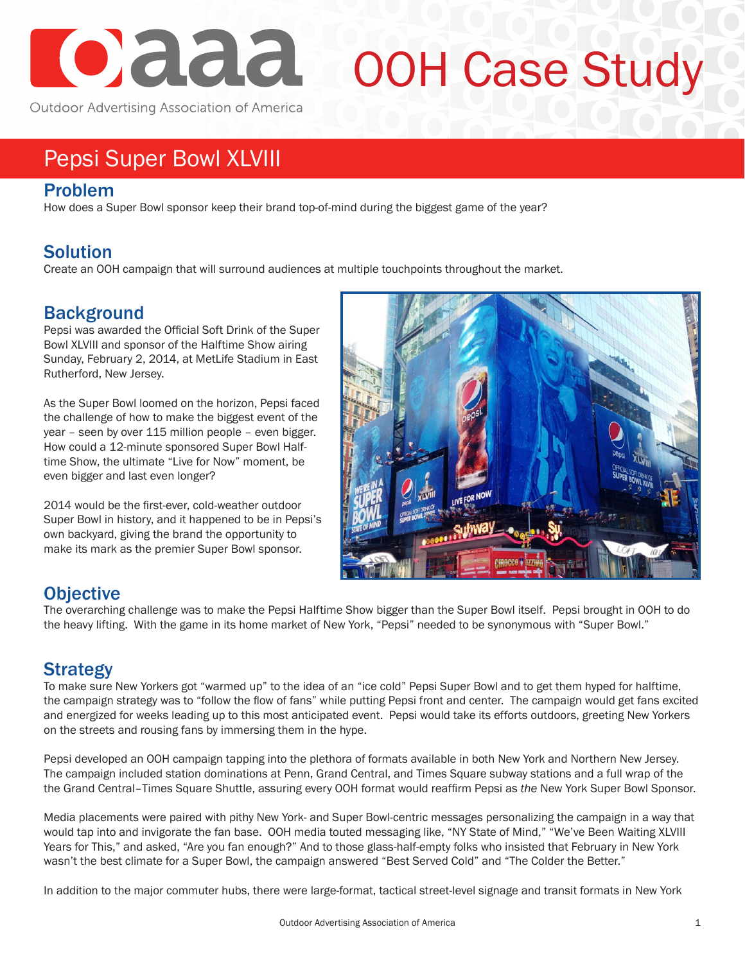

# OOH Case Study

Outdoor Advertising Association of America

## Pepsi Super Bowl XLVIII

#### Problem

How does a Super Bowl sponsor keep their brand top-of-mind during the biggest game of the year?

### Solution

Create an OOH campaign that will surround audiences at multiple touchpoints throughout the market.

### **Background**

Pepsi was awarded the Official Soft Drink of the Super Bowl XLVIII and sponsor of the Halftime Show airing Sunday, February 2, 2014, at MetLife Stadium in East Rutherford, New Jersey.

As the Super Bowl loomed on the horizon, Pepsi faced the challenge of how to make the biggest event of the year – seen by over 115 million people – even bigger. How could a 12-minute sponsored Super Bowl Halftime Show, the ultimate "Live for Now" moment, be even bigger and last even longer?

2014 would be the first-ever, cold-weather outdoor Super Bowl in history, and it happened to be in Pepsi's own backyard, giving the brand the opportunity to make its mark as the premier Super Bowl sponsor.



#### **Objective**

The overarching challenge was to make the Pepsi Halftime Show bigger than the Super Bowl itself. Pepsi brought in OOH to do the heavy lifting. With the game in its home market of New York, "Pepsi" needed to be synonymous with "Super Bowl."

### Strategy

To make sure New Yorkers got "warmed up" to the idea of an "ice cold" Pepsi Super Bowl and to get them hyped for halftime, the campaign strategy was to "follow the flow of fans" while putting Pepsi front and center. The campaign would get fans excited and energized for weeks leading up to this most anticipated event. Pepsi would take its efforts outdoors, greeting New Yorkers on the streets and rousing fans by immersing them in the hype.

Pepsi developed an OOH campaign tapping into the plethora of formats available in both New York and Northern New Jersey. The campaign included station dominations at Penn, Grand Central, and Times Square subway stations and a full wrap of the the Grand Central–Times Square Shuttle, assuring every OOH format would reaffirm Pepsi as *the* New York Super Bowl Sponsor.

Media placements were paired with pithy New York- and Super Bowl-centric messages personalizing the campaign in a way that would tap into and invigorate the fan base. OOH media touted messaging like, "NY State of Mind," "We've Been Waiting XLVIII Years for This," and asked, "Are you fan enough?" And to those glass-half-empty folks who insisted that February in New York wasn't the best climate for a Super Bowl, the campaign answered "Best Served Cold" and "The Colder the Better."

In addition to the major commuter hubs, there were large-format, tactical street-level signage and transit formats in New York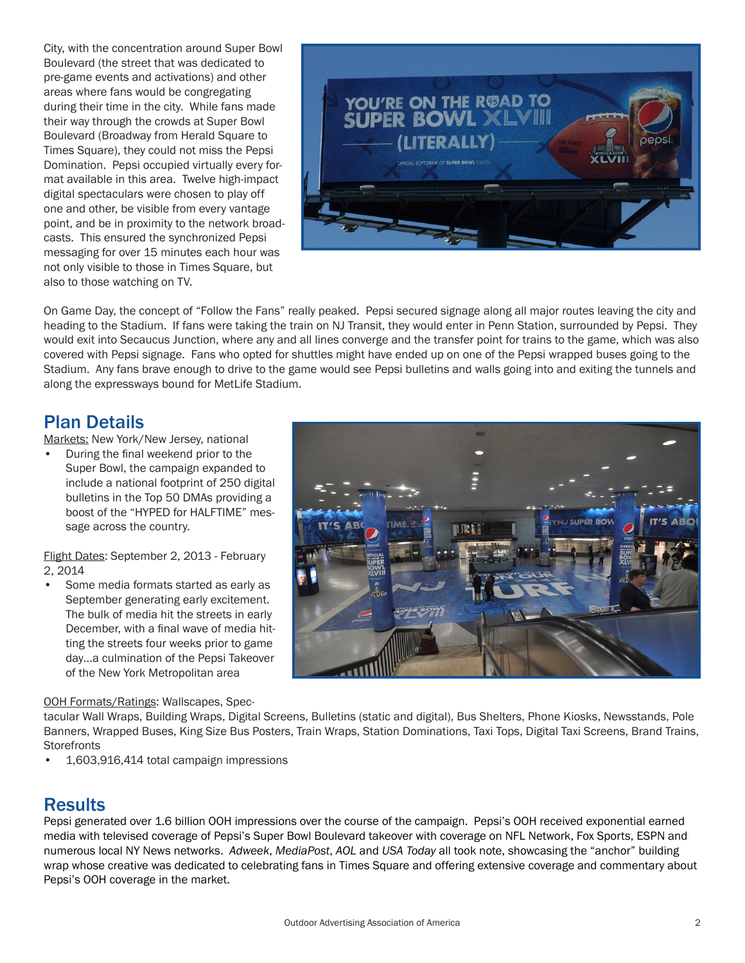City, with the concentration around Super Bowl Boulevard (the street that was dedicated to pre-game events and activations) and other areas where fans would be congregating during their time in the city. While fans made their way through the crowds at Super Bowl Boulevard (Broadway from Herald Square to Times Square), they could not miss the Pepsi Domination. Pepsi occupied virtually every format available in this area. Twelve high-impact digital spectaculars were chosen to play off one and other, be visible from every vantage point, and be in proximity to the network broadcasts. This ensured the synchronized Pepsi messaging for over 15 minutes each hour was not only visible to those in Times Square, but also to those watching on TV.



On Game Day, the concept of "Follow the Fans" really peaked. Pepsi secured signage along all major routes leaving the city and heading to the Stadium. If fans were taking the train on NJ Transit, they would enter in Penn Station, surrounded by Pepsi. They would exit into Secaucus Junction, where any and all lines converge and the transfer point for trains to the game, which was also covered with Pepsi signage. Fans who opted for shuttles might have ended up on one of the Pepsi wrapped buses going to the Stadium. Any fans brave enough to drive to the game would see Pepsi bulletins and walls going into and exiting the tunnels and along the expressways bound for MetLife Stadium.

#### Plan Details

Markets: New York/New Jersey, national

• During the final weekend prior to the Super Bowl, the campaign expanded to include a national footprint of 250 digital bulletins in the Top 50 DMAs providing a boost of the "HYPED for HALFTIME" message across the country.

Flight Dates: September 2, 2013 - February 2, 2014

Some media formats started as early as September generating early excitement. The bulk of media hit the streets in early December, with a final wave of media hitting the streets four weeks prior to game day…a culmination of the Pepsi Takeover of the New York Metropolitan area

#### OOH Formats/Ratings: Wallscapes, Spec-

tacular Wall Wraps, Building Wraps, Digital Screens, Bulletins (static and digital), Bus Shelters, Phone Kiosks, Newsstands, Pole Banners, Wrapped Buses, King Size Bus Posters, Train Wraps, Station Dominations, Taxi Tops, Digital Taxi Screens, Brand Trains, **Storefronts** 

• 1,603,916,414 total campaign impressions

#### **Results**

Pepsi generated over 1.6 billion OOH impressions over the course of the campaign. Pepsi's OOH received exponential earned media with televised coverage of Pepsi's Super Bowl Boulevard takeover with coverage on NFL Network, Fox Sports, ESPN and numerous local NY News networks. *Adweek*, *MediaPost*, *AOL* and *USA Today* all took note, showcasing the "anchor" building wrap whose creative was dedicated to celebrating fans in Times Square and offering extensive coverage and commentary about Pepsi's OOH coverage in the market.